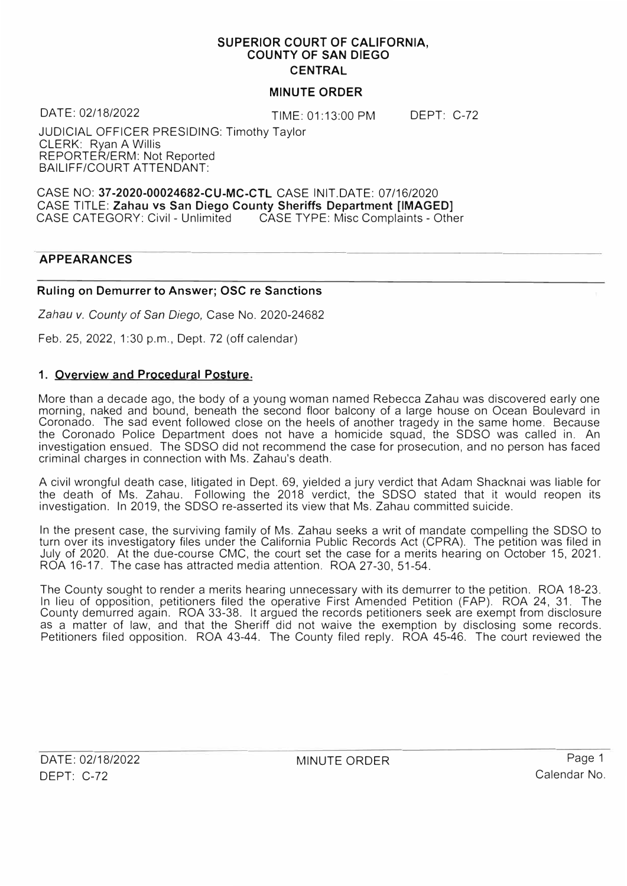#### **SUPERIOR COURT OF CALIFORNIA, COUNTY OF SAN DIEGO CENTRAL**

## **MINUTE ORDER**

DATE: 02/18/2022 TIME: 01:13:00 PM

DEPT: C-72

JUDICIAL OFFICER PRESIDING: Timothy Taylor CLERK: Ryan A Willis REPORTER/ERM: Not Reported BAILIFF/COURT ATTENDANT:

CASE NO: **37-2020-00024682-CU-MC-CTL** CASE !NIT.DATE: 07/16/2020 CASE TITLE: **Zahau vs San Diego County Sheriffs Department [IMAGED]**  CASE TYPE: Misc Complaints - Other

## **APPEARANCES**

## **Ruling on Demurrer to Answer; OSC re Sanctions**

*Zahau v. County of San Diego,* Case No. 2020-24682

Feb. 25, 2022, 1 :30 p.m., Dept. 72 (off calendar)

## **1. Overview and Procedural Posture.**

More than a decade ago, the body of a young woman named Rebecca Zahau was discovered early one morning, naked and bound, beneath the second floor balcony of a large house on Ocean Boulevard in Coronado. The sad event followed close on the heels of another tragedy in the same home. Because the Coronado Police Department does not have a homicide squad, the SOSO was called in. An investigation ensued. The SOSO did not recommend the case for prosecution, and no person has faced criminal charges in connection with Ms. Zahau's death.

A civil wrongful death case, litigated in Dept. 69, yielded a jury verdict that Adam Shacknai was liable for the death of Ms. Zahau. Following the 2018 verdict, the SOSO stated that it would reopen its investigation. In 2019, the SOSO re-asserted its view that Ms. Zahau committed suicide.

In the present case, the surviving family of Ms. Zahau seeks a writ of mandate compelling the SOSO to turn over its investigatory files under the California Public Records Act (CPRA). The petition was filed in July of 2020. At the due-course CMC, the court set the case for a merits hearing on October 15, 2021. ROA 16-17. The case has attracted media attention. ROA 27-30, 51-54.

The County sought to render a merits hearing unnecessary with its demurrer to the petition. ROA 18-23. In lieu of opposition, petitioners filed the operative First Amended Petition (FAP). ROA 24, 31. The County demurred again. ROA 33-38. It argued the records petitioners seek are exempt from disclosure as a matter of law, and that the Sheriff did not waive the exemption by disclosing some records. Petitioners filed opposition. ROA 43-44. The County filed reply. ROA 45-46. The court reviewed the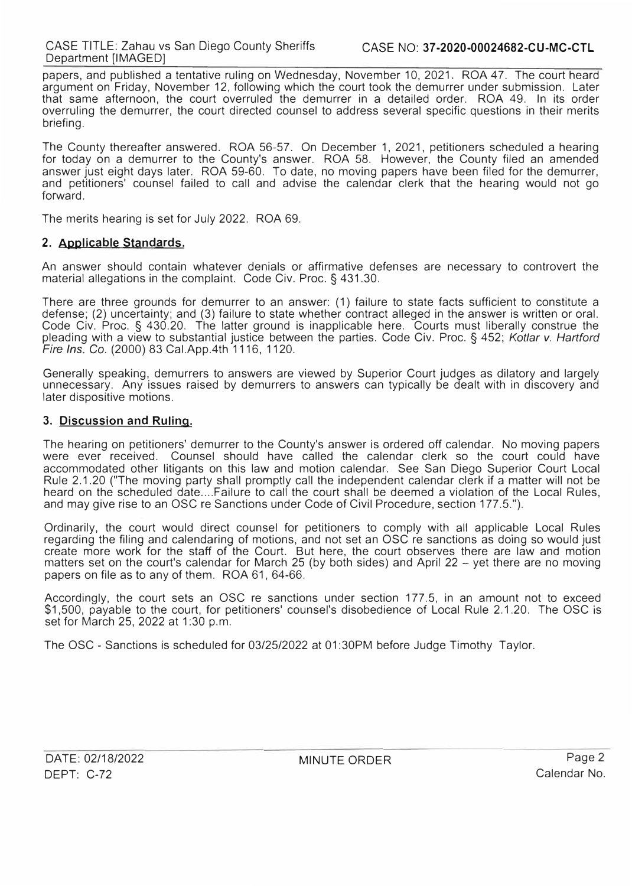papers, and published a tentative ruling on Wednesday, November 10, 2021. ROA 47. The court heard argument on Friday, November 12, following which the court took the demurrer under submission. Later that same afternoon, the court overruled the demurrer in a detailed order. ROA 49. In its order overruling the demurrer, the court directed counsel to address several specific questions in their merits briefing.

The County thereafter answered. ROA 56-57. On December 1, 2021, petitioners scheduled a hearing for today on a demurrer to the County's answer. ROA 58. However, the County filed an amended answer just eight days later. ROA 59-60. To date, no moving papers have been filed for the demurrer, and petitioners' counsel failed to call and advise the calendar clerk that the hearing would not go forward.

The merits hearing is set for July 2022. ROA 69.

## **2. Applicable Standards.**

An answer should contain whatever denials or affirmative defenses are necessary to controvert the material allegations in the complaint. Code Civ. Proc. § 431.30.

There are three grounds for demurrer to an answer: (1) failure to state facts sufficient to constitute a defense; (2) uncertainty; and (3) failure to state whether contract alleged in the answer is written or oral. Code Civ. Proc. § 430.20. The latter ground is inapplicable here. Courts must liberally construe the pleading with a view to substantial justice between the parties. Code Civ. Proc. § 452; *Kotlar v. Hartford Fire Ins.* Co. (2000) 83 Cal.App.4th 1116, 1120.

Generally speaking, demurrers to answers are viewed by Superior Court judges as dilatory and largely unnecessary. Any issues raised by demurrers to answers can typically be dealt with in discovery and later dispositive motions.

## **3. Discussion and Ruling.**

The hearing on petitioners' demurrer to the County's answer is ordered off calendar. No moving papers were ever received. Counsel should have called the calendar clerk so the court could have accommodated other litigants on this law and motion calendar. See San Diego Superior Court Local Rule 2.1.20 ("The moving party shall promptly call the independent calendar clerk if a matter will not be heard on the scheduled date.... Failure to call the court shall be deemed a violation of the Local Rules, and may give rise to an OSC re Sanctions under Code of Civil Procedure, section 177.5.").

Ordinarily, the court would direct counsel for petitioners to comply with all applicable Local Rules regarding the filing and calendaring of motions, and not set an OSC re sanctions as doing so would just create more work for the staff of the Court. But here, the court observes there are law and motion matters set on the court's calendar for March 25 (by both sides) and April 22 - yet there are no moving papers on file as to any of them. ROA 61, 64-66.

Accordingly, the court sets an OSC re sanctions under section 177.5, in an amount not to exceed \$1,500, payable to the court, for petitioners' counsel's disobedience of Local Rule 2.1.20. The OSC 1s set for March 25, 2022 at 1:30 p.m.

The OSC - Sanctions is scheduled for 03/25/2022 at 01 :30PM before Judge Timothy Taylor.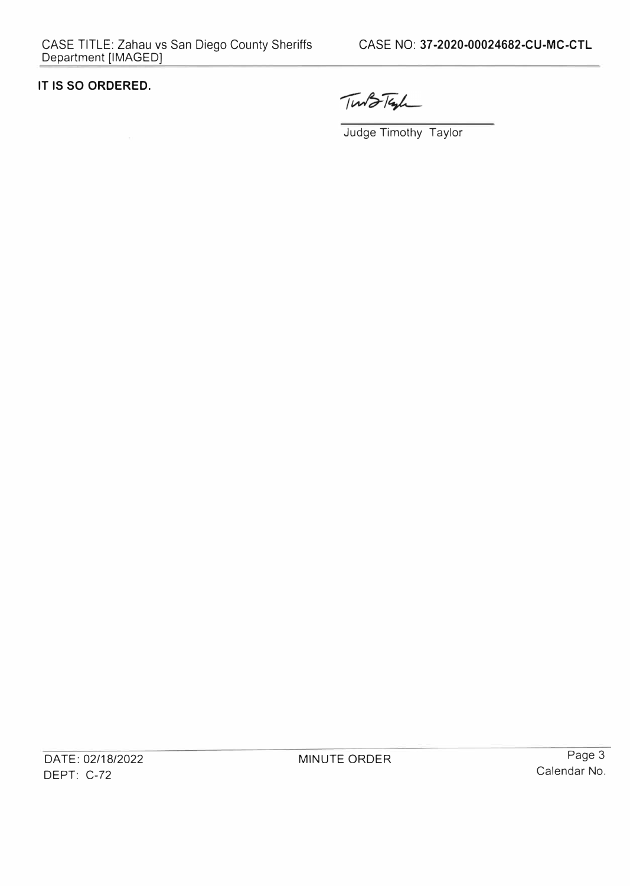## **IT IS SO ORDERED.**

Tunto Tayl

Judge Timothy Taylor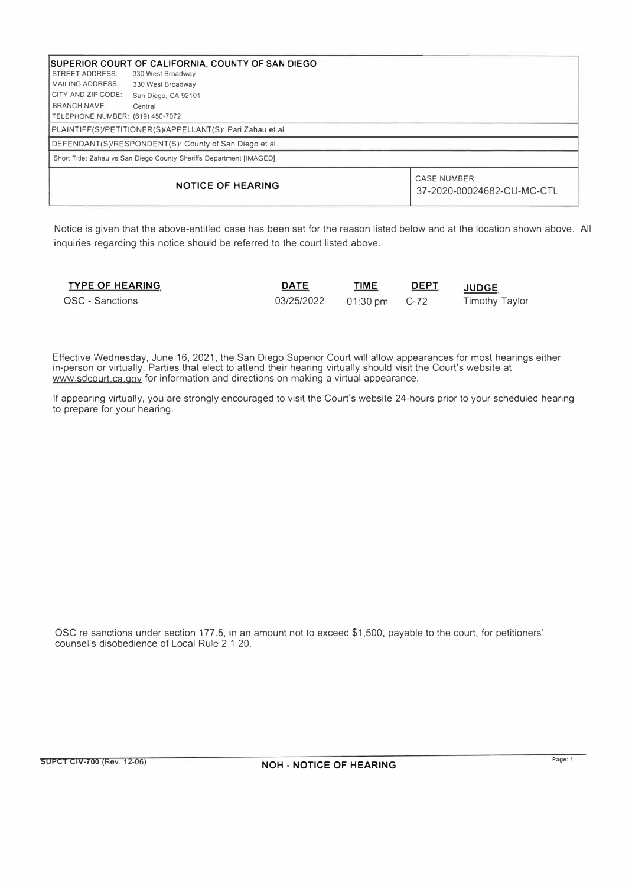| SUPERIOR COURT OF CALIFORNIA, COUNTY OF SAN DIEGO                   |                     |                                                   |  |  |  |  |
|---------------------------------------------------------------------|---------------------|---------------------------------------------------|--|--|--|--|
| <b>STREET ADDRESS:</b>                                              | 330 West Broadway   |                                                   |  |  |  |  |
| <b>MAILING ADDRESS:</b>                                             | 330 West Broadway   |                                                   |  |  |  |  |
| CITY AND ZIP CODE:                                                  | San Diego, CA 92101 |                                                   |  |  |  |  |
| BRANCH NAME:                                                        | Central             |                                                   |  |  |  |  |
| TELEPHONE NUMBER: (619) 450-7072                                    |                     |                                                   |  |  |  |  |
| PLAINTIFF(S)/PETITIONER(S)/APPELLANT(S): Pari Zahau et.al.          |                     |                                                   |  |  |  |  |
| DEFENDANT(S)/RESPONDENT(S): County of San Diego et.al.              |                     |                                                   |  |  |  |  |
| Short Title: Zahau vs San Diego County Sheriffs Department [IMAGED] |                     |                                                   |  |  |  |  |
| <b>NOTICE OF HEARING</b>                                            |                     | <b>CASE NUMBER:</b><br>37-2020-00024682-CU-MC-CTL |  |  |  |  |

Notice is given that the above-entitled case has been set for the reason listed below and at the location shown above. All inquiries regarding this notice should be referred to the court listed above.

| <b>TYPE OF HEARING</b> | <b>DATE</b>                  | <u>ТІМЕ</u> | <b>DEPT</b> | <b>JUDGE</b>   |
|------------------------|------------------------------|-------------|-------------|----------------|
| OSC - Sanctions        | 03/25/2022   01:30 pm   C-72 |             |             | Timothy Taylor |

Effective Wednesday, June 16, 2021, the San Diego Superior Court will allow appearances for most hearings either in-person or virtually. Parties that elect to attend their hearing virtually should visit the Court's website at www.sdcourt.ca.gov for information and directions on making a virtual appearance.

If appearing virtually, you are strongly encouraged to visit the Court's website 24-hours prior to your scheduled hearing to prepare for your hearing.

OSC re sanctions under section 177 .5, in an amount not to exceed \$1,500, payable to the court, for petitioners' counsel's disobedience of Local Rule 2.1.20.